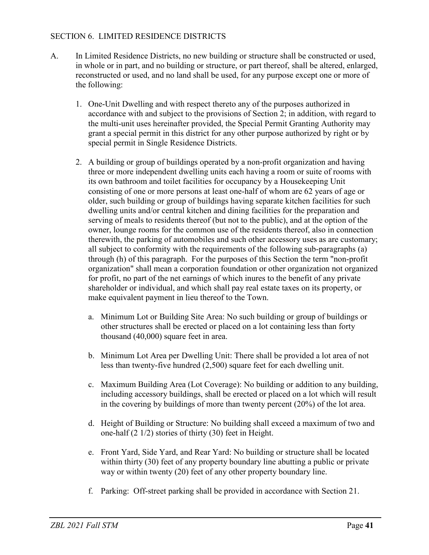## SECTION 6. LIMITED RESIDENCE DISTRICTS

- A. In Limited Residence Districts, no new building or structure shall be constructed or used, in whole or in part, and no building or structure, or part thereof, shall be altered, enlarged, reconstructed or used, and no land shall be used, for any purpose except one or more of the following:
	- 1. One-Unit Dwelling and with respect thereto any of the purposes authorized in accordance with and subject to the provisions of Section 2; in addition, with regard to the multi-unit uses hereinafter provided, the Special Permit Granting Authority may grant a special permit in this district for any other purpose authorized by right or by special permit in Single Residence Districts.
	- 2. A building or group of buildings operated by a non-profit organization and having three or more independent dwelling units each having a room or suite of rooms with its own bathroom and toilet facilities for occupancy by a Housekeeping Unit consisting of one or more persons at least one-half of whom are 62 years of age or older, such building or group of buildings having separate kitchen facilities for such dwelling units and/or central kitchen and dining facilities for the preparation and serving of meals to residents thereof (but not to the public), and at the option of the owner, lounge rooms for the common use of the residents thereof, also in connection therewith, the parking of automobiles and such other accessory uses as are customary; all subject to conformity with the requirements of the following sub-paragraphs (a) through (h) of this paragraph. For the purposes of this Section the term "non-profit organization" shall mean a corporation foundation or other organization not organized for profit, no part of the net earnings of which inures to the benefit of any private shareholder or individual, and which shall pay real estate taxes on its property, or make equivalent payment in lieu thereof to the Town.
		- a. Minimum Lot or Building Site Area: No such building or group of buildings or other structures shall be erected or placed on a lot containing less than forty thousand (40,000) square feet in area.
		- b. Minimum Lot Area per Dwelling Unit: There shall be provided a lot area of not less than twenty-five hundred (2,500) square feet for each dwelling unit.
		- c. Maximum Building Area (Lot Coverage): No building or addition to any building, including accessory buildings, shall be erected or placed on a lot which will result in the covering by buildings of more than twenty percent (20%) of the lot area.
		- d. Height of Building or Structure: No building shall exceed a maximum of two and one-half (2 1/2) stories of thirty (30) feet in Height.
		- e. Front Yard, Side Yard, and Rear Yard: No building or structure shall be located within thirty (30) feet of any property boundary line abutting a public or private way or within twenty (20) feet of any other property boundary line.
		- f. Parking: Off-street parking shall be provided in accordance with Section 21.